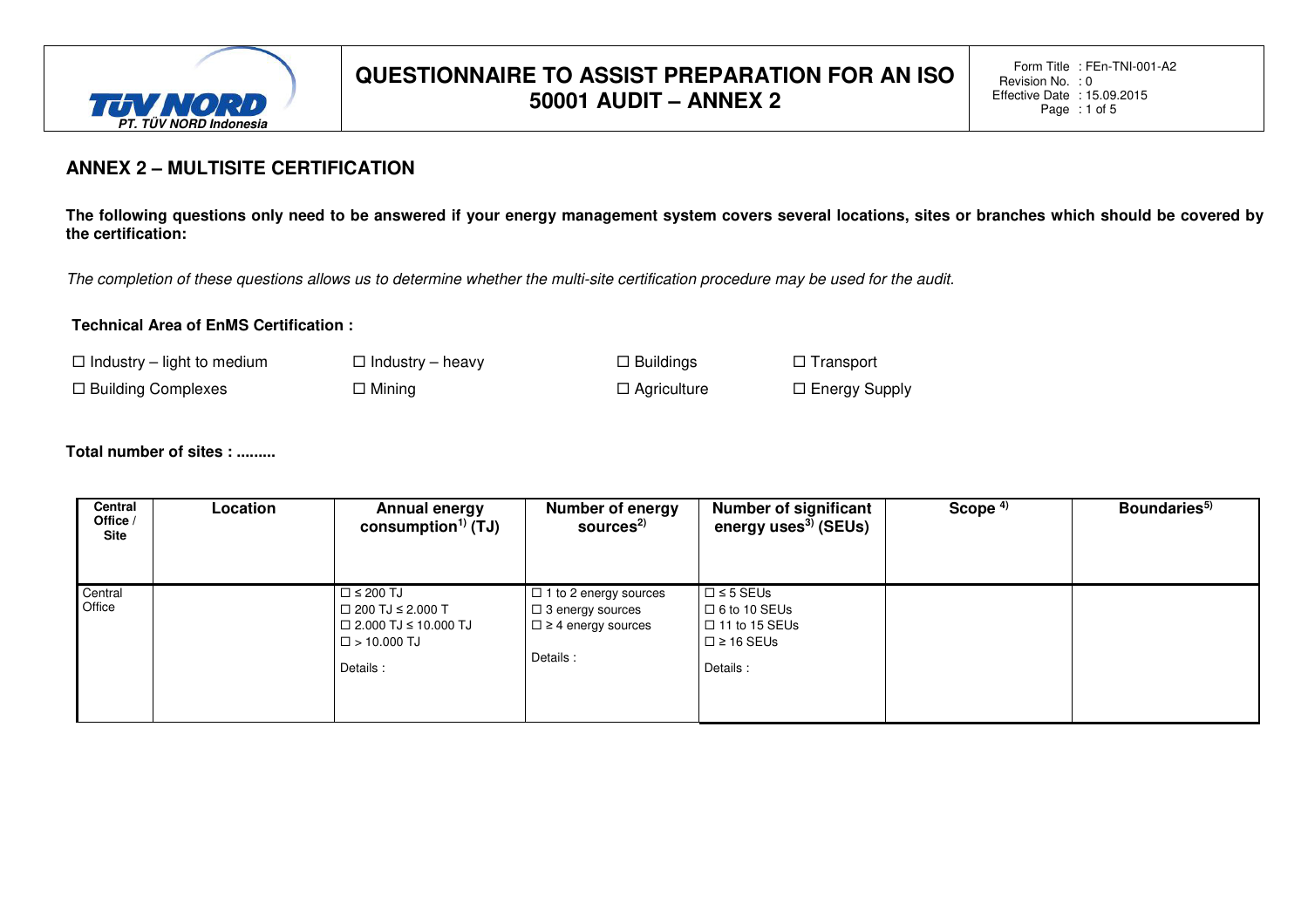

Form Title: FEn-TNI-001-A2 Revision No. :0 Effective Date : 15.09.2015 Page: 1 of 5

### **ANNEX 2 – MULTISITE CERTIFICATION**

**The following questions only need to be answered if your energy management system covers several locations, sites or branches which should be covered by the certification:** 

The completion of these questions allows us to determine whether the multi-site certification procedure may be used for the audit.

#### **Technical Area of EnMS Certification :**

 $\Box$  Industry – light to medium  $\Box$  Industry – heavy  $\Box$  Buildings  $\Box$  Transport

 $\Box$  Building Complexes  $\Box$  Mining  $\Box$  Agriculture  $\Box$  Energy Supply

#### **Total number of sites : .........**

| Central<br>Office /<br><b>Site</b> | Location | Annual energy<br>consumption <sup>1)</sup> (TJ)                                                                          | <b>Number of energy</b><br>sources <sup>2)</sup>                                                      | <b>Number of significant</b><br>energy uses <sup>3)</sup> (SEUs)                               | Scope $4)$ | Boundaries <sup>5)</sup> |
|------------------------------------|----------|--------------------------------------------------------------------------------------------------------------------------|-------------------------------------------------------------------------------------------------------|------------------------------------------------------------------------------------------------|------------|--------------------------|
| Central<br>Office                  |          | $\Box$ $\leq$ 200 TJ<br>$\Box$ 200 TJ $\leq$ 2.000 T<br>$\Box$ 2.000 TJ ≤ 10.000 TJ<br>$\square$ > 10.000 TJ<br>Details: | $\Box$ 1 to 2 energy sources<br>$\Box$ 3 energy sources<br>$\Box$ $\geq$ 4 energy sources<br>Details: | $\Box$ ≤ 5 SEUs<br>$\Box$ 6 to 10 SEUs<br>$\Box$ 11 to 15 SEUs<br>$\Box$ ≥ 16 SEUs<br>Details: |            |                          |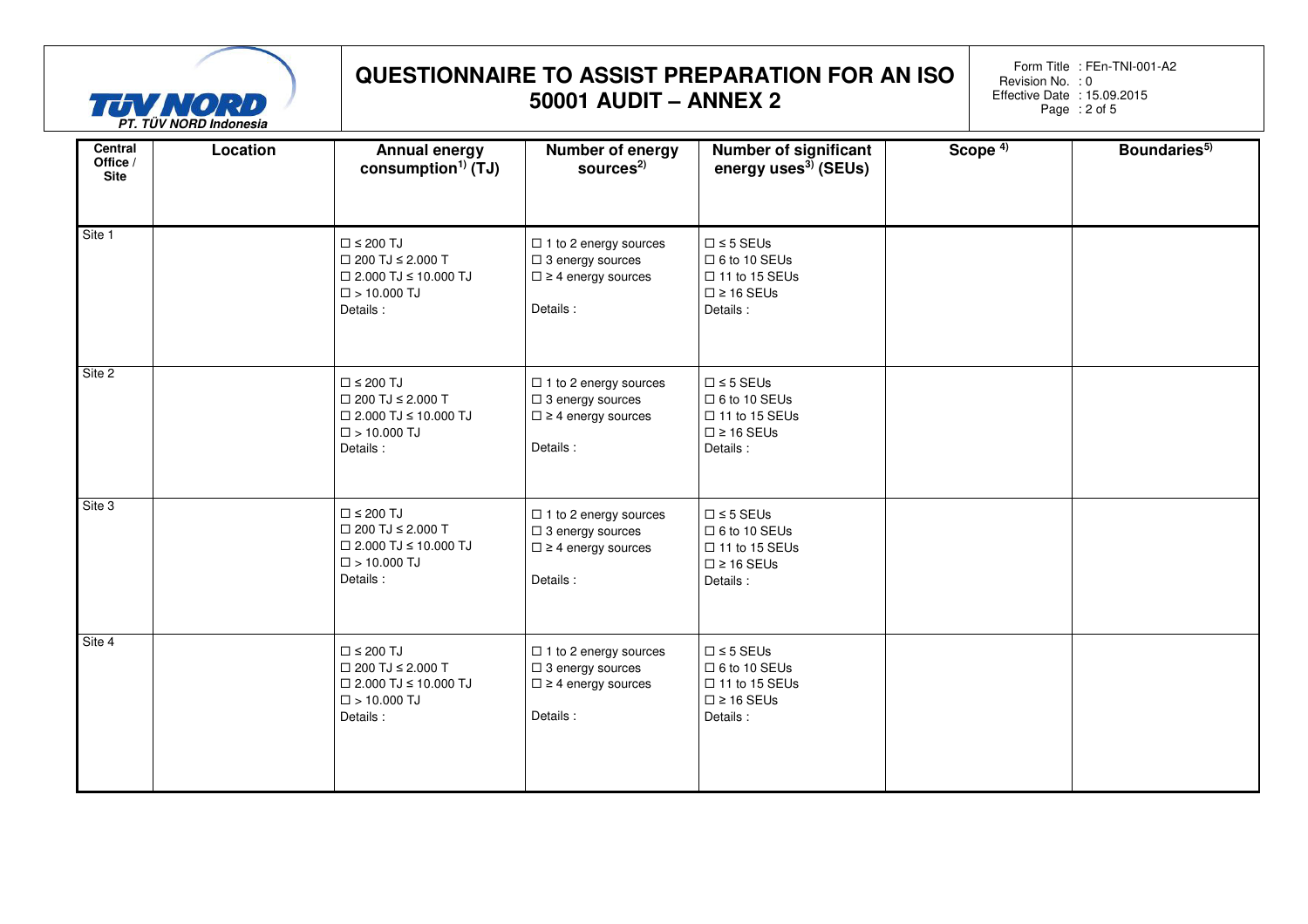

Form Title: FEn-TNI-001-A2 Revision No. :0 Effective Date : 15.09.2015 Page: 2 of 5

| Central<br>Office /<br><b>Site</b> | Location | Annual energy<br>consumption <sup>1)</sup> (TJ)                                                                                  | Number of energy<br>sources $2$                                                                        | <b>Number of significant</b><br>energy uses <sup>3)</sup> (SEUs)                                          | Scope <sup>4)</sup> | Boundaries <sup>5)</sup> |  |
|------------------------------------|----------|----------------------------------------------------------------------------------------------------------------------------------|--------------------------------------------------------------------------------------------------------|-----------------------------------------------------------------------------------------------------------|---------------------|--------------------------|--|
| Site 1                             |          | $\square$ $\leq$ 200 TJ<br>$\Box$ 200 TJ $\leq$ 2.000 T<br>$\Box$ 2.000 TJ $\leq$ 10.000 TJ<br>$\square$ > 10.000 TJ<br>Details: | $\Box$ 1 to 2 energy sources<br>$\Box$ 3 energy sources<br>$\square$ ≥ 4 energy sources<br>Details:    | $\square \leq 5$ SEUs<br>$\Box$ 6 to 10 SEUs<br>$\Box$ 11 to 15 SEUs<br>$\square \ge 16$ SEUs<br>Details: |                     |                          |  |
| Site 2                             |          | $\square$ $\leq$ 200 TJ<br>$\Box$ 200 TJ $\leq$ 2.000 T<br>$\Box$ 2.000 TJ $\leq$ 10.000 TJ<br>$\square$ > 10.000 TJ<br>Details: | $\Box$ 1 to 2 energy sources<br>$\square$ 3 energy sources<br>$\square$ ≥ 4 energy sources<br>Details: | $\square$ ≤ 5 SEUs<br>$\square$ 6 to 10 SEUs<br>$\Box$ 11 to 15 SEUs<br>$\square \ge 16$ SEUs<br>Details: |                     |                          |  |
| Site 3                             |          | $\square$ ≤ 200 TJ<br>$\Box$ 200 TJ $\leq$ 2.000 T<br>$\Box$ 2.000 TJ $\leq$ 10.000 TJ<br>$\square$ > 10.000 TJ<br>Details:      | $\Box$ 1 to 2 energy sources<br>$\square$ 3 energy sources<br>$\square$ ≥ 4 energy sources<br>Details: | $\square$ ≤ 5 SEUs<br>$\square$ 6 to 10 SEUs<br>$\Box$ 11 to 15 SEUs<br>$\square \ge 16$ SEUs<br>Details: |                     |                          |  |
| Site 4                             |          | $\square$ ≤ 200 TJ<br>$\Box$ 200 TJ $\leq$ 2.000 T<br>$\Box$ 2.000 TJ $\leq$ 10.000 TJ<br>$\square$ > 10.000 TJ<br>Details:      | $\Box$ 1 to 2 energy sources<br>$\square$ 3 energy sources<br>$\square$ ≥ 4 energy sources<br>Details: | $\square \leq 5$ SEUs<br>$\Box$ 6 to 10 SEUs<br>$\Box$ 11 to 15 SEUs<br>$\square \ge 16$ SEUs<br>Details: |                     |                          |  |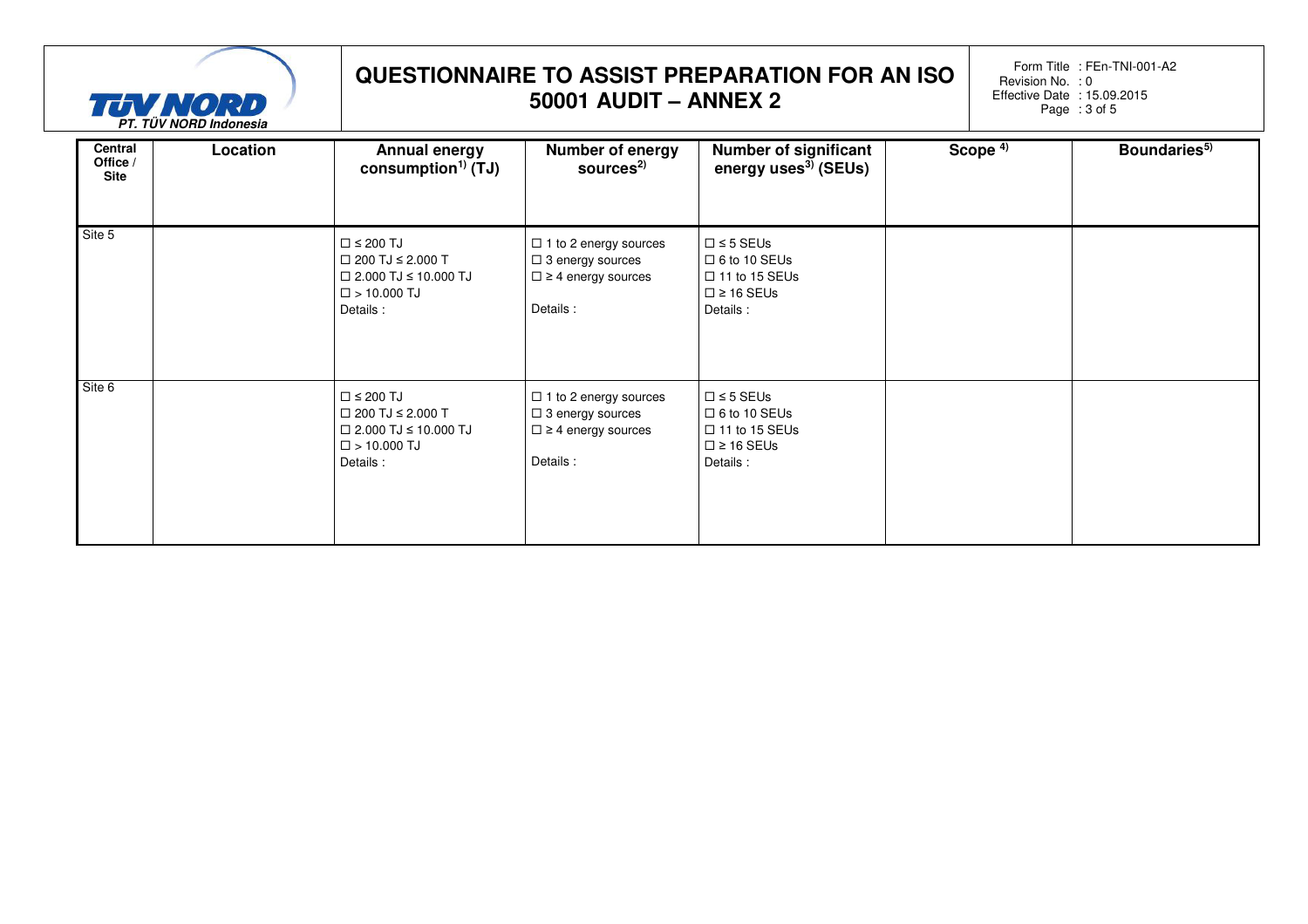

Form Title: FEn-TNI-001-A2 Revision No. :0 Effective Date : 15.09.2015 Page: 3 of 5

| Central<br>Office /<br>Site | Location | <b>Annual energy</b><br>consumption <sup>1)</sup> (TJ)                                                                      | <b>Number of energy</b><br>sources <sup>2)</sup>                                                    | <b>Number of significant</b><br>energy uses <sup>3)</sup> (SEUs)                                         | Scope $4$ | Boundaries <sup>5)</sup> |
|-----------------------------|----------|-----------------------------------------------------------------------------------------------------------------------------|-----------------------------------------------------------------------------------------------------|----------------------------------------------------------------------------------------------------------|-----------|--------------------------|
| Site 5                      |          | $\square$ $\leq$ 200 TJ<br>$\Box$ 200 TJ $\leq$ 2.000 T<br>$\Box$ 2.000 TJ ≤ 10.000 TJ<br>$\square$ > 10.000 TJ<br>Details: | $\Box$ 1 to 2 energy sources<br>$\Box$ 3 energy sources<br>$\square$ ≥ 4 energy sources<br>Details: | $\Box$ $\leq$ 5 SEUs<br>$\Box$ 6 to 10 SEUs<br>$\Box$ 11 to 15 SEUs<br>$\square \ge 16$ SEUs<br>Details: |           |                          |
| Site 6                      |          | $\square$ $\leq$ 200 TJ<br>$\Box$ 200 TJ $\leq$ 2.000 T<br>$\Box$ 2.000 TJ ≤ 10.000 TJ<br>$\square$ > 10.000 TJ<br>Details: | $\Box$ 1 to 2 energy sources<br>$\Box$ 3 energy sources<br>$\square$ ≥ 4 energy sources<br>Details: | $\square$ ≤ 5 SEUs<br>$\Box$ 6 to 10 SEUs<br>$\Box$ 11 to 15 SEUs<br>$\square \ge 16$ SEUs<br>Details:   |           |                          |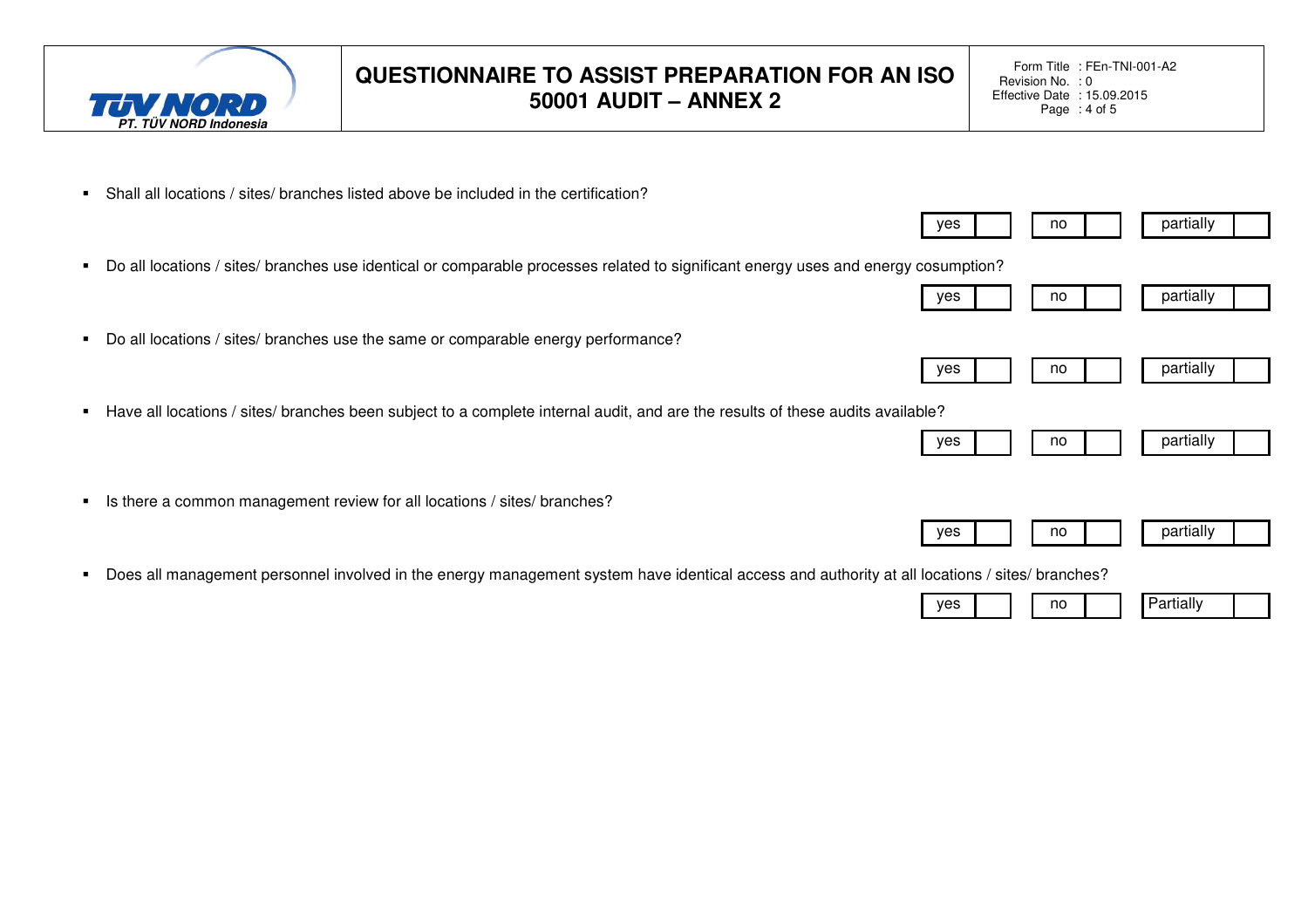

Form Title: FEn-TNI-001-A2 Revision No. :0 Effective Date : 15.09.2015 Page: 4 of 5

yes | | no | | | partially

 $yes$  | | no | | | partially

 $yes$  | | no | | | partially

 $yes$  | | no | | partially

 $yes$  | | no | | | partially

yes no Partially

- Shall all locations / sites/ branches listed above be included in the certification?
- Do all locations / sites/ branches use identical or comparable processes related to significant energy uses and energy cosumption?
- Do all locations / sites/ branches use the same or comparable energy performance?
- Have all locations / sites/ branches been subject to a complete internal audit, and are the results of these audits available?
- Is there a common management review for all locations / sites/ branches?
- Does all management personnel involved in the energy management system have identical access and authority at all locations / sites/ branches?